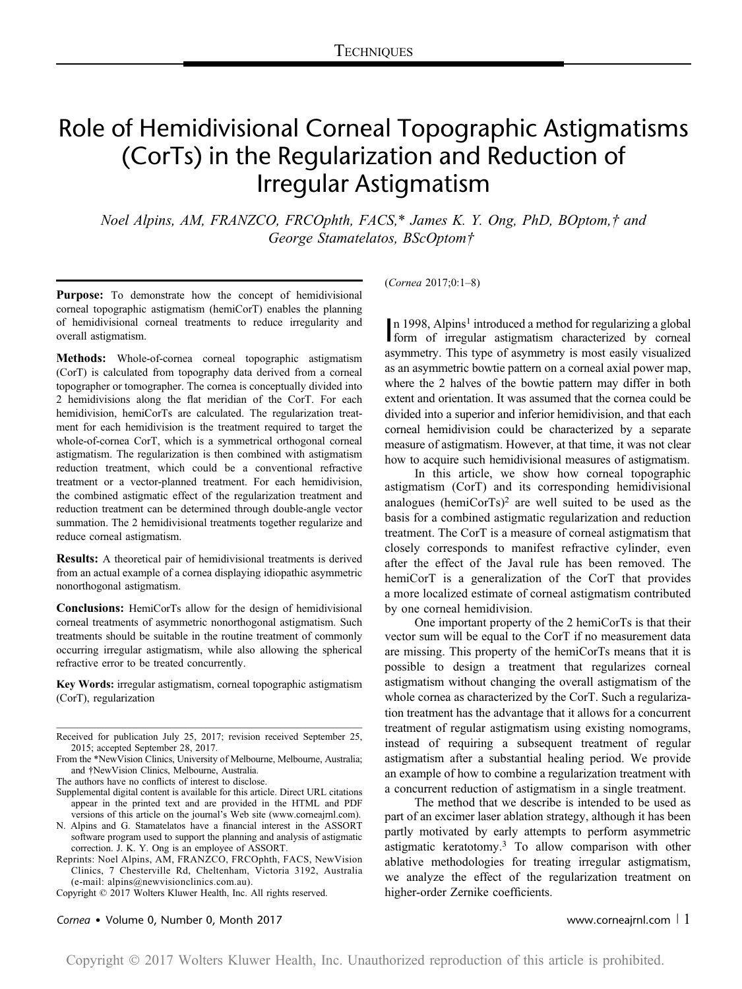# Role of Hemidivisional Corneal Topographic Astigmatisms (CorTs) in the Regularization and Reduction of Irregular Astigmatism

Noel Alpins, AM, FRANZCO, FRCOphth, FACS,\* James K. Y. Ong, PhD, BOptom,† and George Stamatelatos, BScOptom†

Purpose: To demonstrate how the concept of hemidivisional corneal topographic astigmatism (hemiCorT) enables the planning of hemidivisional corneal treatments to reduce irregularity and overall astigmatism.

Methods: Whole-of-cornea corneal topographic astigmatism (CorT) is calculated from topography data derived from a corneal topographer or tomographer. The cornea is conceptually divided into 2 hemidivisions along the flat meridian of the CorT. For each hemidivision, hemiCorTs are calculated. The regularization treatment for each hemidivision is the treatment required to target the whole-of-cornea CorT, which is a symmetrical orthogonal corneal astigmatism. The regularization is then combined with astigmatism reduction treatment, which could be a conventional refractive treatment or a vector-planned treatment. For each hemidivision, the combined astigmatic effect of the regularization treatment and reduction treatment can be determined through double-angle vector summation. The 2 hemidivisional treatments together regularize and reduce corneal astigmatism.

Results: A theoretical pair of hemidivisional treatments is derived from an actual example of a cornea displaying idiopathic asymmetric nonorthogonal astigmatism.

Conclusions: HemiCorTs allow for the design of hemidivisional corneal treatments of asymmetric nonorthogonal astigmatism. Such treatments should be suitable in the routine treatment of commonly occurring irregular astigmatism, while also allowing the spherical refractive error to be treated concurrently.

Key Words: irregular astigmatism, corneal topographic astigmatism (CorT), regularization

The authors have no conflicts of interest to disclose.

- Supplemental digital content is available for this article. Direct URL citations appear in the printed text and are provided in the HTML and PDF versions of this article on the journal's Web site ([www.corneajrnl.com](http://www.corneajrnl.com)).
- N. Alpins and G. Stamatelatos have a financial interest in the ASSORT software program used to support the planning and analysis of astigmatic correction. J. K. Y. Ong is an employee of ASSORT.
- Reprints: Noel Alpins, AM, FRANZCO, FRCOphth, FACS, NewVision Clinics, 7 Chesterville Rd, Cheltenham, Victoria 3192, Australia (e-mail: [alpins@newvisionclinics.com.au\)](mailto:alpins@newvisionclinics.com.au).

Copyright © 2017 Wolters Kluwer Health, Inc. All rights reserved.

Cornea Volume 0, Number 0, Month 2017 www.corneajrnl.com <sup>|</sup> 1

(Cornea 2017;0:1–8)

n 1998, Alpins<sup>1</sup> introduced a method for regularizing a global<br>form of irregular astigmatism characterized by corneal form of irregular astigmatism characterized by corneal asymmetry. This type of asymmetry is most easily visualized as an asymmetric bowtie pattern on a corneal axial power map, where the 2 halves of the bowtie pattern may differ in both extent and orientation. It was assumed that the cornea could be divided into a superior and inferior hemidivision, and that each corneal hemidivision could be characterized by a separate measure of astigmatism. However, at that time, it was not clear how to acquire such hemidivisional measures of astigmatism.

In this article, we show how corneal topographic astigmatism (CorT) and its corresponding hemidivisional analogues (hemiCorTs)<sup>2</sup> are well suited to be used as the basis for a combined astigmatic regularization and reduction treatment. The CorT is a measure of corneal astigmatism that closely corresponds to manifest refractive cylinder, even after the effect of the Javal rule has been removed. The hemiCorT is a generalization of the CorT that provides a more localized estimate of corneal astigmatism contributed by one corneal hemidivision.

One important property of the 2 hemiCorTs is that their vector sum will be equal to the CorT if no measurement data are missing. This property of the hemiCorTs means that it is possible to design a treatment that regularizes corneal astigmatism without changing the overall astigmatism of the whole cornea as characterized by the CorT. Such a regularization treatment has the advantage that it allows for a concurrent treatment of regular astigmatism using existing nomograms, instead of requiring a subsequent treatment of regular astigmatism after a substantial healing period. We provide an example of how to combine a regularization treatment with a concurrent reduction of astigmatism in a single treatment.

The method that we describe is intended to be used as part of an excimer laser ablation strategy, although it has been partly motivated by early attempts to perform asymmetric astigmatic keratotomy.<sup>3</sup> To allow comparison with other ablative methodologies for treating irregular astigmatism, we analyze the effect of the regularization treatment on higher-order Zernike coefficients.

Copyright 2017 Wolters Kluwer Health, Inc. Unauthorized reproduction of this article is prohibited.

Received for publication July 25, 2017; revision received September 25, 2015; accepted September 28, 2017.

From the \*NewVision Clinics, University of Melbourne, Melbourne, Australia; and †NewVision Clinics, Melbourne, Australia.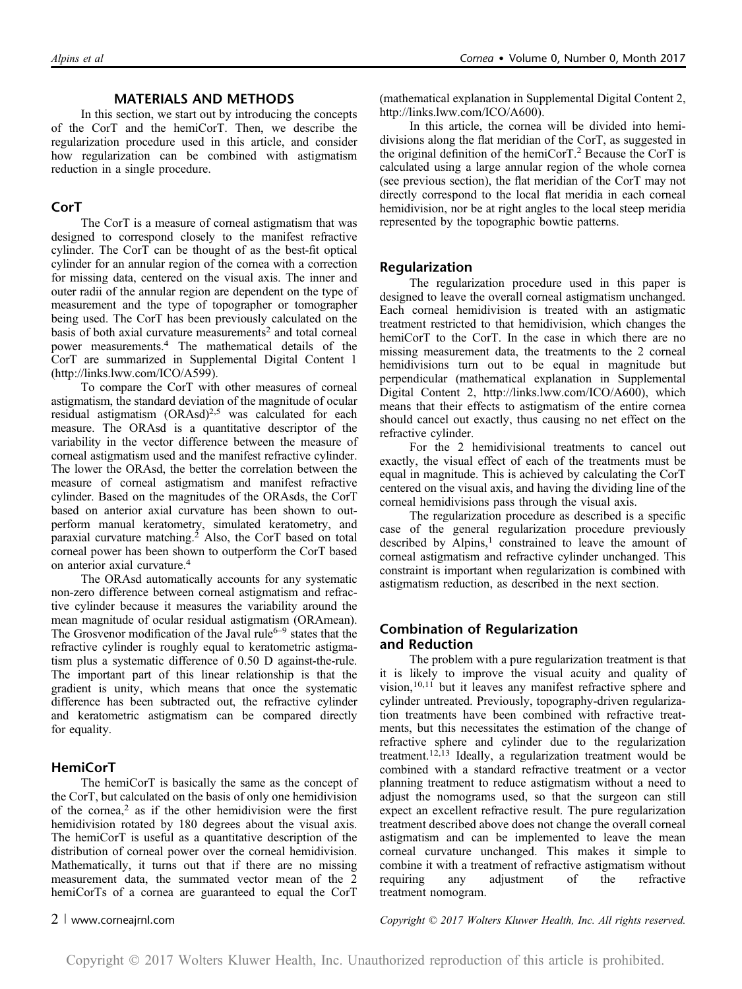### MATERIALS AND METHODS

In this section, we start out by introducing the concepts of the CorT and the hemiCorT. Then, we describe the regularization procedure used in this article, and consider how regularization can be combined with astigmatism reduction in a single procedure.

# CorT

The CorT is a measure of corneal astigmatism that was designed to correspond closely to the manifest refractive cylinder. The CorT can be thought of as the best-fit optical cylinder for an annular region of the cornea with a correction for missing data, centered on the visual axis. The inner and outer radii of the annular region are dependent on the type of measurement and the type of topographer or tomographer being used. The CorT has been previously calculated on the basis of both axial curvature measurements<sup>2</sup> and total corneal power measurements.4 The mathematical details of the CorT are summarized in Supplemental Digital Content 1 [\(http://links.lww.com/ICO/A599](http://links.lww.com/ICO/A599)).

To compare the CorT with other measures of corneal astigmatism, the standard deviation of the magnitude of ocular residual astigmatism (ORAsd)<sup>2,5</sup> was calculated for each measure. The ORAsd is a quantitative descriptor of the variability in the vector difference between the measure of corneal astigmatism used and the manifest refractive cylinder. The lower the ORAsd, the better the correlation between the measure of corneal astigmatism and manifest refractive cylinder. Based on the magnitudes of the ORAsds, the CorT based on anterior axial curvature has been shown to outperform manual keratometry, simulated keratometry, and paraxial curvature matching.2 Also, the CorT based on total corneal power has been shown to outperform the CorT based on anterior axial curvature.4

The ORAsd automatically accounts for any systematic non-zero difference between corneal astigmatism and refractive cylinder because it measures the variability around the mean magnitude of ocular residual astigmatism (ORAmean). The Grosvenor modification of the Javal rule<sup>6–9</sup> states that the refractive cylinder is roughly equal to keratometric astigmatism plus a systematic difference of 0.50 D against-the-rule. The important part of this linear relationship is that the gradient is unity, which means that once the systematic difference has been subtracted out, the refractive cylinder and keratometric astigmatism can be compared directly for equality.

# HemiCorT

The hemiCorT is basically the same as the concept of the CorT, but calculated on the basis of only one hemidivision of the cornea,<sup>2</sup> as if the other hemidivision were the first hemidivision rotated by 180 degrees about the visual axis. The hemiCorT is useful as a quantitative description of the distribution of corneal power over the corneal hemidivision. Mathematically, it turns out that if there are no missing measurement data, the summated vector mean of the 2 hemiCorTs of a cornea are guaranteed to equal the CorT

(mathematical explanation in Supplemental Digital Content 2, <http://links.lww.com/ICO/A600>).

In this article, the cornea will be divided into hemidivisions along the flat meridian of the CorT, as suggested in the original definition of the hemiCorT.<sup>2</sup> Because the CorT is calculated using a large annular region of the whole cornea (see previous section), the flat meridian of the CorT may not directly correspond to the local flat meridia in each corneal hemidivision, nor be at right angles to the local steep meridia represented by the topographic bowtie patterns.

### Regularization

The regularization procedure used in this paper is designed to leave the overall corneal astigmatism unchanged. Each corneal hemidivision is treated with an astigmatic treatment restricted to that hemidivision, which changes the hemiCorT to the CorT. In the case in which there are no missing measurement data, the treatments to the 2 corneal hemidivisions turn out to be equal in magnitude but perpendicular (mathematical explanation in Supplemental Digital Content 2,<http://links.lww.com/ICO/A600>), which means that their effects to astigmatism of the entire cornea should cancel out exactly, thus causing no net effect on the refractive cylinder.

For the 2 hemidivisional treatments to cancel out exactly, the visual effect of each of the treatments must be equal in magnitude. This is achieved by calculating the CorT centered on the visual axis, and having the dividing line of the corneal hemidivisions pass through the visual axis.

The regularization procedure as described is a specific case of the general regularization procedure previously described by  $Alpins<sup>1</sup>$  constrained to leave the amount of corneal astigmatism and refractive cylinder unchanged. This constraint is important when regularization is combined with astigmatism reduction, as described in the next section.

# Combination of Regularization and Reduction

The problem with a pure regularization treatment is that it is likely to improve the visual acuity and quality of vision,10,11 but it leaves any manifest refractive sphere and cylinder untreated. Previously, topography-driven regularization treatments have been combined with refractive treatments, but this necessitates the estimation of the change of refractive sphere and cylinder due to the regularization treatment.12,13 Ideally, a regularization treatment would be combined with a standard refractive treatment or a vector planning treatment to reduce astigmatism without a need to adjust the nomograms used, so that the surgeon can still expect an excellent refractive result. The pure regularization treatment described above does not change the overall corneal astigmatism and can be implemented to leave the mean corneal curvature unchanged. This makes it simple to combine it with a treatment of refractive astigmatism without requiring any adjustment of the refractive treatment nomogram.

2 <sup>|</sup> www.corneajrnl.com Copyright © 2017 Wolters Kluwer Health, Inc. All rights reserved.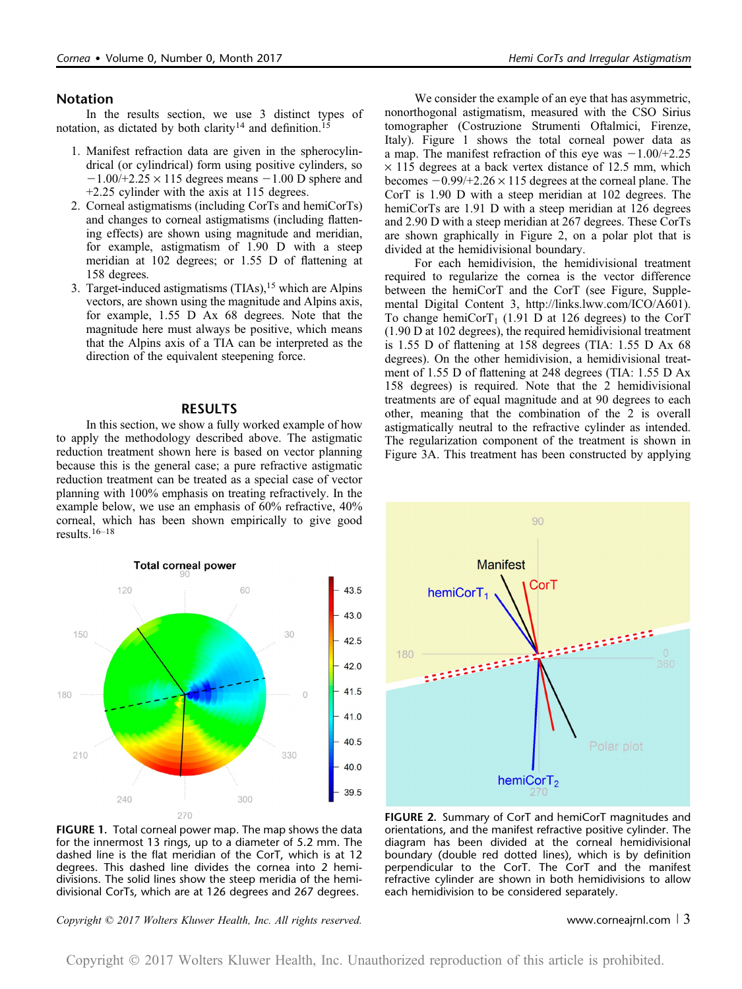### Notation

In the results section, we use 3 distinct types of notation, as dictated by both clarity<sup>14</sup> and definition.<sup>15</sup>

- 1. Manifest refraction data are given in the spherocylindrical (or cylindrical) form using positive cylinders, so  $-1.00/+2.25 \times 115$  degrees means  $-1.00$  D sphere and +2.25 cylinder with the axis at 115 degrees.
- 2. Corneal astigmatisms (including CorTs and hemiCorTs) and changes to corneal astigmatisms (including flattening effects) are shown using magnitude and meridian, for example, astigmatism of 1.90 D with a steep meridian at 102 degrees; or 1.55 D of flattening at 158 degrees.
- 3. Target-induced astigmatisms (TIAs),<sup>15</sup> which are Alpins vectors, are shown using the magnitude and Alpins axis, for example, 1.55 D Ax 68 degrees. Note that the magnitude here must always be positive, which means that the Alpins axis of a TIA can be interpreted as the direction of the equivalent steepening force.

### RESULTS

In this section, we show a fully worked example of how to apply the methodology described above. The astigmatic reduction treatment shown here is based on vector planning because this is the general case; a pure refractive astigmatic reduction treatment can be treated as a special case of vector planning with 100% emphasis on treating refractively. In the example below, we use an emphasis of 60% refractive, 40% corneal, which has been shown empirically to give good results.16–<sup>18</sup>



FIGURE 1. Total corneal power map. The map shows the data for the innermost 13 rings, up to a diameter of 5.2 mm. The dashed line is the flat meridian of the CorT, which is at 12 degrees. This dashed line divides the cornea into 2 hemidivisions. The solid lines show the steep meridia of the hemidivisional CorTs, which are at 126 degrees and 267 degrees.

Copyright  $\odot$  2017 Wolters Kluwer Health, Inc. All rights reserved. We www.corneajrnl.com | 3

We consider the example of an eye that has asymmetric, nonorthogonal astigmatism, measured with the CSO Sirius tomographer (Costruzione Strumenti Oftalmici, Firenze, Italy). Figure 1 shows the total corneal power data as a map. The manifest refraction of this eye was  $-1.00/+2.25$  $\times$  115 degrees at a back vertex distance of 12.5 mm, which becomes  $-0.99/+2.26 \times 115$  degrees at the corneal plane. The CorT is 1.90 D with a steep meridian at 102 degrees. The hemiCorTs are 1.91 D with a steep meridian at 126 degrees and 2.90 D with a steep meridian at 267 degrees. These CorTs are shown graphically in Figure 2, on a polar plot that is divided at the hemidivisional boundary.

For each hemidivision, the hemidivisional treatment required to regularize the cornea is the vector difference between the hemiCorT and the CorT (see Figure, Supplemental Digital Content 3,<http://links.lww.com/ICO/A601>). To change hemiCorT<sub>1</sub> (1.91 D at 126 degrees) to the CorT (1.90 D at 102 degrees), the required hemidivisional treatment is 1.55 D of flattening at 158 degrees (TIA: 1.55 D Ax 68 degrees). On the other hemidivision, a hemidivisional treatment of 1.55 D of flattening at 248 degrees (TIA: 1.55 D Ax 158 degrees) is required. Note that the 2 hemidivisional treatments are of equal magnitude and at 90 degrees to each other, meaning that the combination of the 2 is overall astigmatically neutral to the refractive cylinder as intended. The regularization component of the treatment is shown in Figure 3A. This treatment has been constructed by applying



FIGURE 2. Summary of CorT and hemiCorT magnitudes and orientations, and the manifest refractive positive cylinder. The diagram has been divided at the corneal hemidivisional boundary (double red dotted lines), which is by definition perpendicular to the CorT. The CorT and the manifest refractive cylinder are shown in both hemidivisions to allow each hemidivision to be considered separately.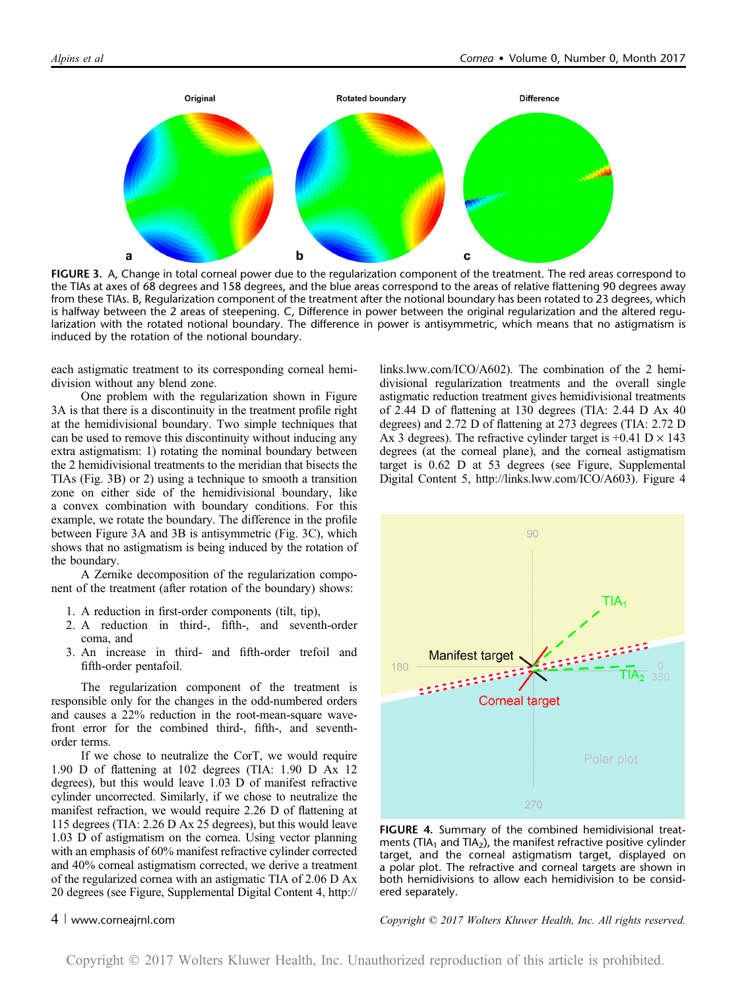

FIGURE 3. A, Change in total corneal power due to the regularization component of the treatment. The red areas correspond to the TIAs at axes of 68 degrees and 158 degrees, and the blue areas correspond to the areas of relative flattening 90 degrees away from these TIAs. B, Regularization component of the treatment after the notional boundary has been rotated to 23 degrees, which is halfway between the 2 areas of steepening. C, Difference in power between the original regularization and the altered regularization with the rotated notional boundary. The difference in power is antisymmetric, which means that no astigmatism is induced by the rotation of the notional boundary.

each astigmatic treatment to its corresponding corneal hemidivision without any blend zone.

One problem with the regularization shown in Figure 3A is that there is a discontinuity in the treatment profile right at the hemidivisional boundary. Two simple techniques that can be used to remove this discontinuity without inducing any extra astigmatism: 1) rotating the nominal boundary between the 2 hemidivisional treatments to the meridian that bisects the TIAs (Fig. 3B) or 2) using a technique to smooth a transition zone on either side of the hemidivisional boundary, like a convex combination with boundary conditions. For this example, we rotate the boundary. The difference in the profile between Figure 3A and 3B is antisymmetric (Fig. 3C), which shows that no astigmatism is being induced by the rotation of the boundary.

A Zernike decomposition of the regularization component of the treatment (after rotation of the boundary) shows:

- 1. A reduction in first-order components (tilt, tip),
- 2. A reduction in third-, fifth-, and seventh-order coma, and
- 3. An increase in third- and fifth-order trefoil and fifth-order pentafoil.

The regularization component of the treatment is responsible only for the changes in the odd-numbered orders and causes a 22% reduction in the root-mean-square wavefront error for the combined third-, fifth-, and seventhorder terms.

If we chose to neutralize the CorT, we would require 1.90 D of flattening at 102 degrees (TIA: 1.90 D Ax 12 degrees), but this would leave 1.03 D of manifest refractive cylinder uncorrected. Similarly, if we chose to neutralize the manifest refraction, we would require 2.26 D of flattening at 115 degrees (TIA: 2.26 D Ax 25 degrees), but this would leave 1.03 D of astigmatism on the cornea. Using vector planning with an emphasis of 60% manifest refractive cylinder corrected and 40% corneal astigmatism corrected, we derive a treatment of the regularized cornea with an astigmatic TIA of 2.06 D Ax 20 degrees (see Figure, Supplemental Digital Content 4, [http://](http://links.lww.com/ICO/A602) [links.lww.com/ICO/A602](http://links.lww.com/ICO/A602)). The combination of the 2 hemidivisional regularization treatments and the overall single astigmatic reduction treatment gives hemidivisional treatments of 2.44 D of flattening at 130 degrees (TIA: 2.44 D Ax 40 degrees) and 2.72 D of flattening at 273 degrees (TIA: 2.72 D Ax 3 degrees). The refractive cylinder target is  $+0.41$  D  $\times$  143 degrees (at the corneal plane), and the corneal astigmatism target is 0.62 D at 53 degrees (see Figure, Supplemental Digital Content 5,<http://links.lww.com/ICO/A603>). Figure 4



FIGURE 4. Summary of the combined hemidivisional treatments (TIA<sub>1</sub> and TIA<sub>2</sub>), the manifest refractive positive cylinder target, and the corneal astigmatism target, displayed on a polar plot. The refractive and corneal targets are shown in both hemidivisions to allow each hemidivision to be considered separately.

4 <sup>|</sup> www.corneajrnl.com Copyright © 2017 Wolters Kluwer Health, Inc. All rights reserved.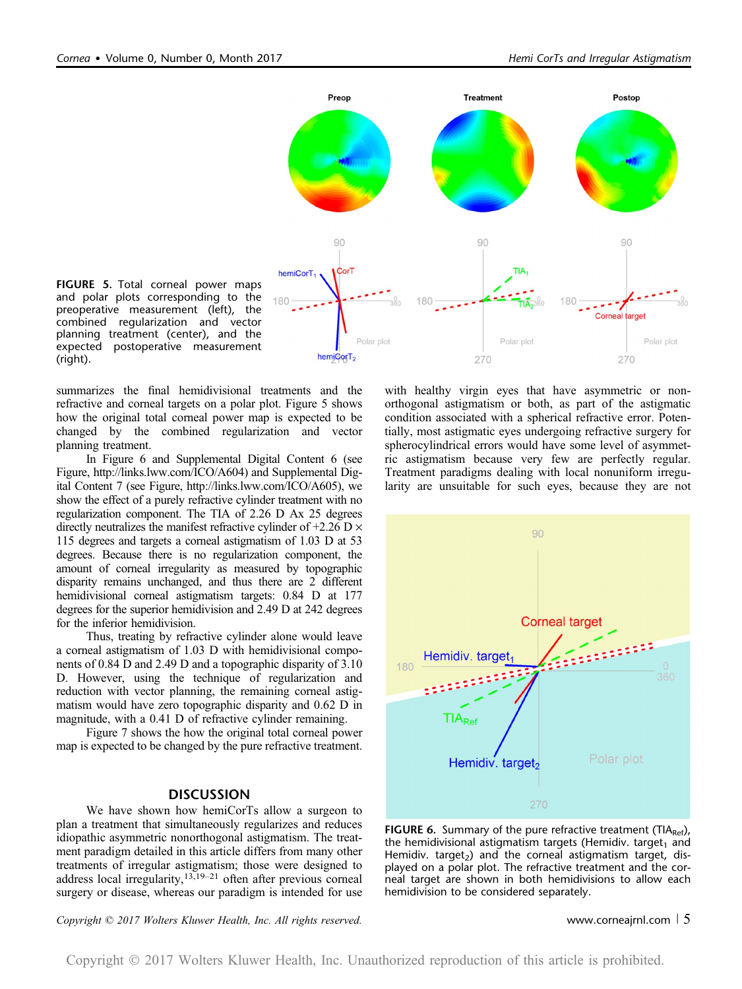

FIGURE 5. Total corneal power maps and polar plots corresponding to the preoperative measurement (left), the combined regularization and vector planning treatment (center), and the expected postoperative measurement (right).

summarizes the final hemidivisional treatments and the refractive and corneal targets on a polar plot. Figure 5 shows how the original total corneal power map is expected to be changed by the combined regularization and vector planning treatment.

In Figure 6 and Supplemental Digital Content 6 (see Figure,<http://links.lww.com/ICO/A604>) and Supplemental Digital Content 7 (see Figure,<http://links.lww.com/ICO/A605>), we show the effect of a purely refractive cylinder treatment with no regularization component. The TIA of 2.26 D Ax 25 degrees directly neutralizes the manifest refractive cylinder of  $+2.26$  D  $\times$ 115 degrees and targets a corneal astigmatism of 1.03 D at 53 degrees. Because there is no regularization component, the amount of corneal irregularity as measured by topographic disparity remains unchanged, and thus there are 2 different hemidivisional corneal astigmatism targets: 0.84 D at 177 degrees for the superior hemidivision and 2.49 D at 242 degrees for the inferior hemidivision.

Thus, treating by refractive cylinder alone would leave a corneal astigmatism of 1.03 D with hemidivisional components of 0.84 D and 2.49 D and a topographic disparity of 3.10 D. However, using the technique of regularization and reduction with vector planning, the remaining corneal astigmatism would have zero topographic disparity and 0.62 D in magnitude, with a 0.41 D of refractive cylinder remaining.

Figure 7 shows the how the original total corneal power map is expected to be changed by the pure refractive treatment.

# **DISCUSSION**

We have shown how hemiCorTs allow a surgeon to plan a treatment that simultaneously regularizes and reduces idiopathic asymmetric nonorthogonal astigmatism. The treatment paradigm detailed in this article differs from many other treatments of irregular astigmatism; those were designed to address local irregularity,13,19–<sup>21</sup> often after previous corneal surgery or disease, whereas our paradigm is intended for use

 $Copyright © 2017 Wolters Kluwer Health, Inc. All rights reserved.$ Www.corneajrnl.com | 5

with healthy virgin eyes that have asymmetric or nonorthogonal astigmatism or both, as part of the astigmatic condition associated with a spherical refractive error. Potentially, most astigmatic eyes undergoing refractive surgery for spherocylindrical errors would have some level of asymmetric astigmatism because very few are perfectly regular. Treatment paradigms dealing with local nonuniform irregularity are unsuitable for such eyes, because they are not



**FIGURE 6.** Summary of the pure refractive treatment (TIA $_{Ref}$ ), the hemidivisional astigmatism targets (Hemidiv. target<sub>1</sub> and Hemidiv.  $target_2$ ) and the corneal astigmatism target, displayed on a polar plot. The refractive treatment and the corneal target are shown in both hemidivisions to allow each hemidivision to be considered separately.

Copyright 2017 Wolters Kluwer Health, Inc. Unauthorized reproduction of this article is prohibited.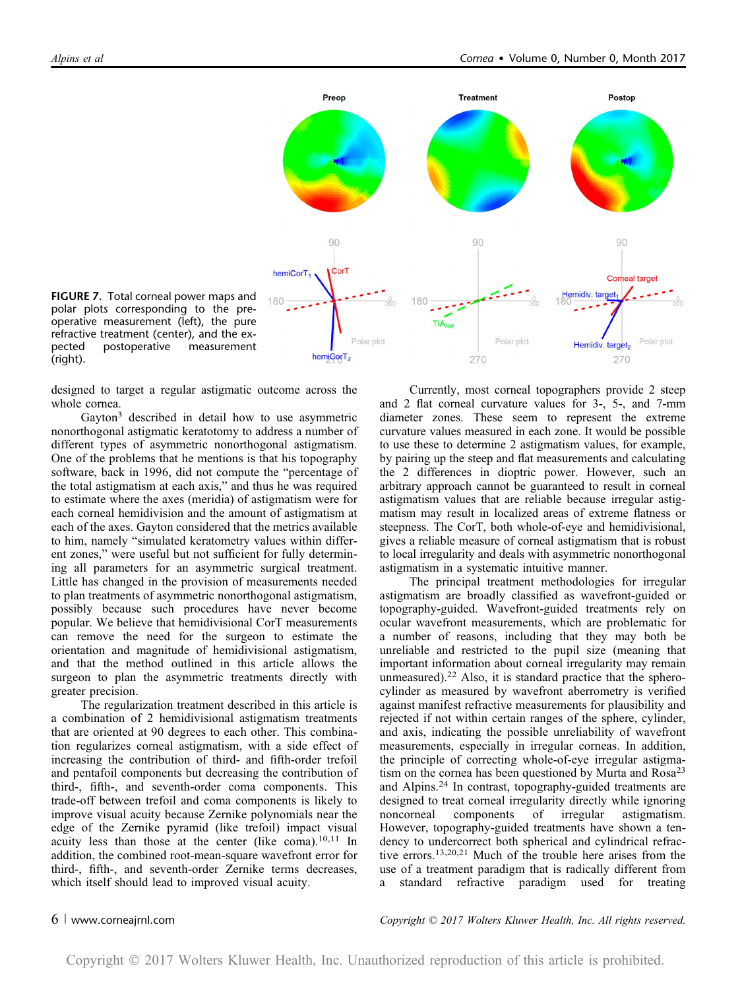



designed to target a regular astigmatic outcome across the whole cornea.

Gayton<sup>3</sup> described in detail how to use asymmetric nonorthogonal astigmatic keratotomy to address a number of different types of asymmetric nonorthogonal astigmatism. One of the problems that he mentions is that his topography software, back in 1996, did not compute the "percentage of the total astigmatism at each axis," and thus he was required to estimate where the axes (meridia) of astigmatism were for each corneal hemidivision and the amount of astigmatism at each of the axes. Gayton considered that the metrics available to him, namely "simulated keratometry values within different zones," were useful but not sufficient for fully determining all parameters for an asymmetric surgical treatment. Little has changed in the provision of measurements needed to plan treatments of asymmetric nonorthogonal astigmatism, possibly because such procedures have never become popular. We believe that hemidivisional CorT measurements can remove the need for the surgeon to estimate the orientation and magnitude of hemidivisional astigmatism, and that the method outlined in this article allows the surgeon to plan the asymmetric treatments directly with greater precision.

The regularization treatment described in this article is a combination of 2 hemidivisional astigmatism treatments that are oriented at 90 degrees to each other. This combination regularizes corneal astigmatism, with a side effect of increasing the contribution of third- and fifth-order trefoil and pentafoil components but decreasing the contribution of third-, fifth-, and seventh-order coma components. This trade-off between trefoil and coma components is likely to improve visual acuity because Zernike polynomials near the edge of the Zernike pyramid (like trefoil) impact visual acuity less than those at the center (like coma).10,11 In addition, the combined root-mean-square wavefront error for third-, fifth-, and seventh-order Zernike terms decreases, which itself should lead to improved visual acuity.

Currently, most corneal topographers provide 2 steep and 2 flat corneal curvature values for 3-, 5-, and 7-mm diameter zones. These seem to represent the extreme curvature values measured in each zone. It would be possible to use these to determine 2 astigmatism values, for example, by pairing up the steep and flat measurements and calculating the 2 differences in dioptric power. However, such an arbitrary approach cannot be guaranteed to result in corneal astigmatism values that are reliable because irregular astigmatism may result in localized areas of extreme flatness or steepness. The CorT, both whole-of-eye and hemidivisional, gives a reliable measure of corneal astigmatism that is robust to local irregularity and deals with asymmetric nonorthogonal astigmatism in a systematic intuitive manner.

The principal treatment methodologies for irregular astigmatism are broadly classified as wavefront-guided or topography-guided. Wavefront-guided treatments rely on ocular wavefront measurements, which are problematic for a number of reasons, including that they may both be unreliable and restricted to the pupil size (meaning that important information about corneal irregularity may remain unmeasured).<sup>22</sup> Also, it is standard practice that the spherocylinder as measured by wavefront aberrometry is verified against manifest refractive measurements for plausibility and rejected if not within certain ranges of the sphere, cylinder, and axis, indicating the possible unreliability of wavefront measurements, especially in irregular corneas. In addition, the principle of correcting whole-of-eye irregular astigmatism on the cornea has been questioned by Murta and  $Rosa<sup>23</sup>$ and Alpins.<sup>24</sup> In contrast, topography-guided treatments are designed to treat corneal irregularity directly while ignoring noncorneal components of irregular astigmatism. However, topography-guided treatments have shown a tendency to undercorrect both spherical and cylindrical refractive errors.13,20,21 Much of the trouble here arises from the use of a treatment paradigm that is radically different from a standard refractive paradigm used for treating

6 <sup>|</sup> www.corneajrnl.com Copyright © 2017 Wolters Kluwer Health, Inc. All rights reserved.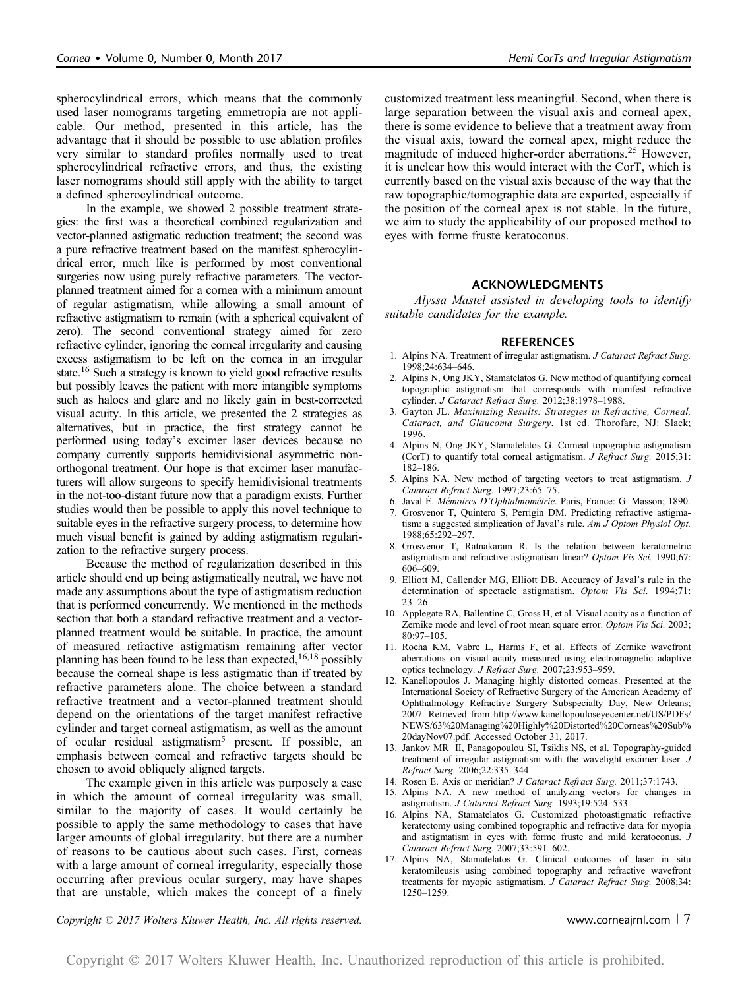spherocylindrical errors, which means that the commonly used laser nomograms targeting emmetropia are not applicable. Our method, presented in this article, has the advantage that it should be possible to use ablation profiles very similar to standard profiles normally used to treat spherocylindrical refractive errors, and thus, the existing laser nomograms should still apply with the ability to target a defined spherocylindrical outcome.

In the example, we showed 2 possible treatment strategies: the first was a theoretical combined regularization and vector-planned astigmatic reduction treatment; the second was a pure refractive treatment based on the manifest spherocylindrical error, much like is performed by most conventional surgeries now using purely refractive parameters. The vectorplanned treatment aimed for a cornea with a minimum amount of regular astigmatism, while allowing a small amount of refractive astigmatism to remain (with a spherical equivalent of zero). The second conventional strategy aimed for zero refractive cylinder, ignoring the corneal irregularity and causing excess astigmatism to be left on the cornea in an irregular state.16 Such a strategy is known to yield good refractive results but possibly leaves the patient with more intangible symptoms such as haloes and glare and no likely gain in best-corrected visual acuity. In this article, we presented the 2 strategies as alternatives, but in practice, the first strategy cannot be performed using today's excimer laser devices because no company currently supports hemidivisional asymmetric nonorthogonal treatment. Our hope is that excimer laser manufacturers will allow surgeons to specify hemidivisional treatments in the not-too-distant future now that a paradigm exists. Further studies would then be possible to apply this novel technique to suitable eyes in the refractive surgery process, to determine how much visual benefit is gained by adding astigmatism regularization to the refractive surgery process.

Because the method of regularization described in this article should end up being astigmatically neutral, we have not made any assumptions about the type of astigmatism reduction that is performed concurrently. We mentioned in the methods section that both a standard refractive treatment and a vectorplanned treatment would be suitable. In practice, the amount of measured refractive astigmatism remaining after vector planning has been found to be less than expected,  $16,18$  possibly because the corneal shape is less astigmatic than if treated by refractive parameters alone. The choice between a standard refractive treatment and a vector-planned treatment should depend on the orientations of the target manifest refractive cylinder and target corneal astigmatism, as well as the amount of ocular residual astigmatism<sup>5</sup> present. If possible, an emphasis between corneal and refractive targets should be chosen to avoid obliquely aligned targets.

The example given in this article was purposely a case in which the amount of corneal irregularity was small, similar to the majority of cases. It would certainly be possible to apply the same methodology to cases that have larger amounts of global irregularity, but there are a number of reasons to be cautious about such cases. First, corneas with a large amount of corneal irregularity, especially those occurring after previous ocular surgery, may have shapes that are unstable, which makes the concept of a finely customized treatment less meaningful. Second, when there is large separation between the visual axis and corneal apex, there is some evidence to believe that a treatment away from the visual axis, toward the corneal apex, might reduce the magnitude of induced higher-order aberrations.<sup>25</sup> However, it is unclear how this would interact with the CorT, which is currently based on the visual axis because of the way that the raw topographic/tomographic data are exported, especially if the position of the corneal apex is not stable. In the future, we aim to study the applicability of our proposed method to eyes with forme fruste keratoconus.

### ACKNOWLEDGMENTS

Alyssa Mastel assisted in developing tools to identify suitable candidates for the example.

### **REFERENCES**

- 1. Alpins NA. Treatment of irregular astigmatism. J Cataract Refract Surg. 1998;24:634–646.
- 2. Alpins N, Ong JKY, Stamatelatos G. New method of quantifying corneal topographic astigmatism that corresponds with manifest refractive cylinder. J Cataract Refract Surg. 2012;38:1978–1988.
- 3. Gayton JL. Maximizing Results: Strategies in Refractive, Corneal, Cataract, and Glaucoma Surgery. 1st ed. Thorofare, NJ: Slack; 1996.
- 4. Alpins N, Ong JKY, Stamatelatos G. Corneal topographic astigmatism (CorT) to quantify total corneal astigmatism. *J Refract Surg.* 2015;31: 182–186.
- 5. Alpins NA. New method of targeting vectors to treat astigmatism. J Cataract Refract Surg. 1997;23:65–75.
- 6. Javal É. Mémoires D'Ophtalmométrie. Paris, France: G. Masson; 1890.
- 7. Grosvenor T, Quintero S, Perrigin DM. Predicting refractive astigmatism: a suggested simplication of Javal's rule. Am J Optom Physiol Opt. 1988;65:292–297.
- 8. Grosvenor T, Ratnakaram R. Is the relation between keratometric astigmatism and refractive astigmatism linear? Optom Vis Sci. 1990;67: 606–609.
- 9. Elliott M, Callender MG, Elliott DB. Accuracy of Javal's rule in the determination of spectacle astigmatism. Optom Vis Sci. 1994;71: 23–26.
- 10. Applegate RA, Ballentine C, Gross H, et al. Visual acuity as a function of Zernike mode and level of root mean square error. Optom Vis Sci. 2003; 80:97–105.
- 11. Rocha KM, Vabre L, Harms F, et al. Effects of Zernike wavefront aberrations on visual acuity measured using electromagnetic adaptive optics technology. J Refract Surg. 2007;23:953–959.
- 12. Kanellopoulos J. Managing highly distorted corneas. Presented at the International Society of Refractive Surgery of the American Academy of Ophthalmology Refractive Surgery Subspecialty Day, New Orleans; 2007. Retrieved from [http://www.kanellopouloseyecenter.net/US/PDFs/](http://www.kanellopouloseyecenter.net/US/PDFs/NEWS/63%20Managing%20Highly%20Distorted%20Corneas%20Sub%20dayNov07.pdf) [NEWS/63%20Managing%20Highly%20Distorted%20Corneas%20Sub%](http://www.kanellopouloseyecenter.net/US/PDFs/NEWS/63%20Managing%20Highly%20Distorted%20Corneas%20Sub%20dayNov07.pdf) [20dayNov07.pdf](http://www.kanellopouloseyecenter.net/US/PDFs/NEWS/63%20Managing%20Highly%20Distorted%20Corneas%20Sub%20dayNov07.pdf). Accessed October 31, 2017.
- 13. Jankov MR II, Panagopoulou SI, Tsiklis NS, et al. Topography-guided treatment of irregular astigmatism with the wavelight excimer laser. J Refract Surg. 2006;22:335–344.
- 14. Rosen E. Axis or meridian? J Cataract Refract Surg. 2011;37:1743.
- 15. Alpins NA. A new method of analyzing vectors for changes in astigmatism. J Cataract Refract Surg. 1993;19:524–533.
- 16. Alpins NA, Stamatelatos G. Customized photoastigmatic refractive keratectomy using combined topographic and refractive data for myopia and astigmatism in eyes with forme fruste and mild keratoconus. J Cataract Refract Surg. 2007;33:591–602.
- 17. Alpins NA, Stamatelatos G. Clinical outcomes of laser in situ keratomileusis using combined topography and refractive wavefront treatments for myopic astigmatism. J Cataract Refract Surg. 2008;34: 1250–1259.

 $Copyright © 2017 Wolters Kluwer Health, Inc. All rights reserved.$ Www.corneajrnl.com | 7